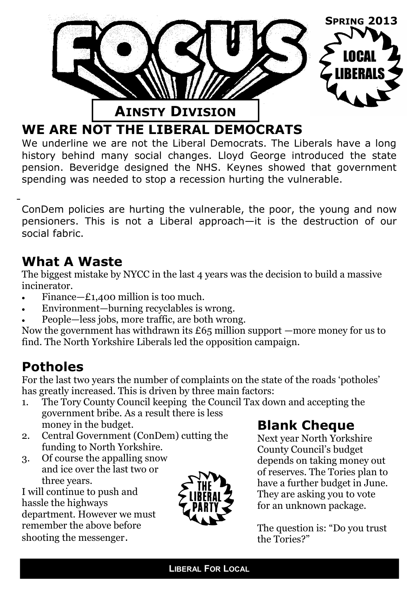

### **WE ARE NOT THE LIBERAL DEMOCRATS**

We underline we are not the Liberal Democrats. The Liberals have a long history behind many social changes. Lloyd George introduced the state pension. Beveridge designed the NHS. Keynes showed that government spending was needed to stop a recession hurting the vulnerable.

ConDem policies are hurting the vulnerable, the poor, the young and now pensioners. This is not a Liberal approach—it is the destruction of our social fabric.

### **What A Waste**

The biggest mistake by NYCC in the last 4 years was the decision to build a massive incinerator.

- Finance—£1,400 million is too much.
- Environment—burning recyclables is wrong.
- People—less jobs, more traffic, are both wrong.

Now the government has withdrawn its  $£65$  million support —more money for us to find. The North Yorkshire Liberals led the opposition campaign.

## **Potholes**

For the last two years the number of complaints on the state of the roads 'potholes' has greatly increased. This is driven by three main factors:

- 1. The Tory County Council keeping the Council Tax down and accepting the government bribe. As a result there is less money in the budget.
- 2. Central Government (ConDem) cutting the funding to North Yorkshire.
- 3. Of course the appalling snow and ice over the last two or three years.

I will continue to push and hassle the highways department. However we must remember the above before shooting the messenger.



# **Blank Cheque**

Next year North Yorkshire County Council's budget depends on taking money out of reserves. The Tories plan to have a further budget in June. They are asking you to vote for an unknown package.

The question is: "Do you trust the Tories?"